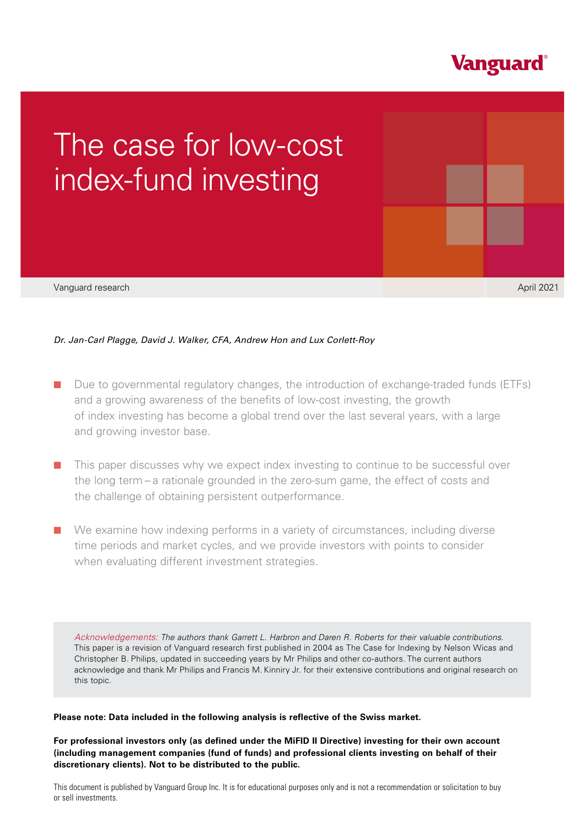

# Vanguard research **September 2021 Vanguard Research September 2021** The case for low-cost research April 2021index-fund investing

*Dr. Jan-Carl Plagge, David J. Walker, CFA, Andrew Hon and Lux Corlett-Roy* 

- Due to governmental regulatory changes, the introduction of exchange-traded funds (ETFs) and a growing awareness of the benefits of low-cost investing, the growth of index investing has become a global trend over the last several years, with a large and growing investor base.
- This paper discusses why we expect index investing to continue to be successful over the long term – a rationale grounded in the zero-sum game, the effect of costs and the challenge of obtaining persistent outperformance.
- We examine how indexing performs in a variety of circumstances, including diverse time periods and market cycles, and we provide investors with points to consider when evaluating different investment strategies.

*Acknowledgements: The authors thank Garrett L. Harbron and Daren R. Roberts for their valuable contributions*. This paper is a revision of Vanguard research first published in 2004 as The Case for Indexing by Nelson Wicas and Christopher B. Philips, updated in succeeding years by Mr Philips and other co-authors. The current authors acknowledge and thank Mr Philips and Francis M. Kinniry Jr. for their extensive contributions and original research on this topic.

# **Please note: Data included in the following analysis is reflective of the Swiss market.**

**For professional investors only (as defined under the MiFID II Directive) investing for their own account (including management companies (fund of funds) and professional clients investing on behalf of their discretionary clients). Not to be distributed to the public.**

This document is published by Vanguard Group Inc. It is for educational purposes only and is not a recommendation or solicitation to buy or sell investments.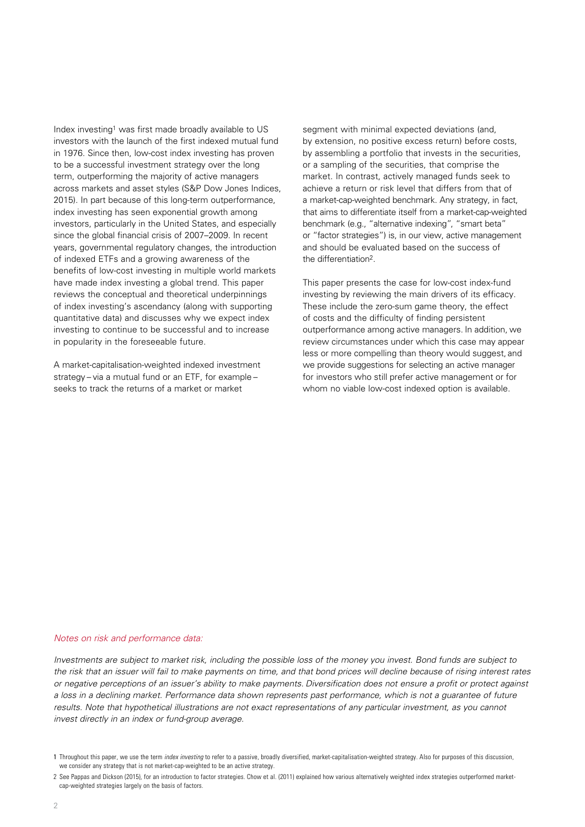Index investing<sup>1</sup> was first made broadly available to US investors with the launch of the first indexed mutual fund in 1976. Since then, low-cost index investing has proven to be a successful investment strategy over the long term, outperforming the majority of active managers across markets and asset styles (S&P Dow Jones Indices, 2015). In part because of this long-term outperformance, index investing has seen exponential growth among investors, particularly in the United States, and especially since the global financial crisis of 2007–2009. In recent years, governmental regulatory changes, the introduction of indexed ETFs and a growing awareness of the benefits of low-cost investing in multiple world markets have made index investing a global trend. This paper reviews the conceptual and theoretical underpinnings of index investing's ascendancy (along with supporting quantitative data) and discusses why we expect index investing to continue to be successful and to increase in popularity in the foreseeable future.

A market-capitalisation-weighted indexed investment strategy – via a mutual fund or an ETF, for example – seeks to track the returns of a market or market

segment with minimal expected deviations (and, by extension, no positive excess return) before costs, by assembling a portfolio that invests in the securities, or a sampling of the securities, that comprise the market. In contrast, actively managed funds seek to achieve a return or risk level that differs from that of a market-cap-weighted benchmark. Any strategy, in fact, that aims to differentiate itself from a market-cap-weighted benchmark (e.g., "alternative indexing", "smart beta" or "factor strategies") is, in our view, active management and should be evaluated based on the success of the differentiation2.

This paper presents the case for low-cost index-fund investing by reviewing the main drivers of its efficacy. These include the zero-sum game theory, the effect of costs and the difficulty of finding persistent outperformance among active managers. In addition, we review circumstances under which this case may appear less or more compelling than theory would suggest, and we provide suggestions for selecting an active manager for investors who still prefer active management or for whom no viable low-cost indexed option is available.

#### *Notes on risk and performance data:*

*Investments are subject to market risk, including the possible loss of the money you invest. Bond funds are subject to the risk that an issuer will fail to make payments on time, and that bond prices will decline because of rising interest rates or negative perceptions of an issuer's ability to make payments. Diversification does not ensure a profit or protect against a loss in a declining market. Performance data shown represents past performance, which is not a guarantee of future*  results. Note that hypothetical illustrations are not exact representations of any particular investment, as you cannot *invest directly in an index or fund-group average.*

<sup>1</sup> Throughout this paper, we use the term *index investing* to refer to a passive, broadly diversified, market-capitalisation-weighted strategy. Also for purposes of this discussion, we consider any strategy that is not market-cap-weighted to be an active strategy.

<sup>2</sup> See Pappas and Dickson (2015), for an introduction to factor strategies. Chow et al. (2011) explained how various alternatively weighted index strategies outperformed marketcap-weighted strategies largely on the basis of factors.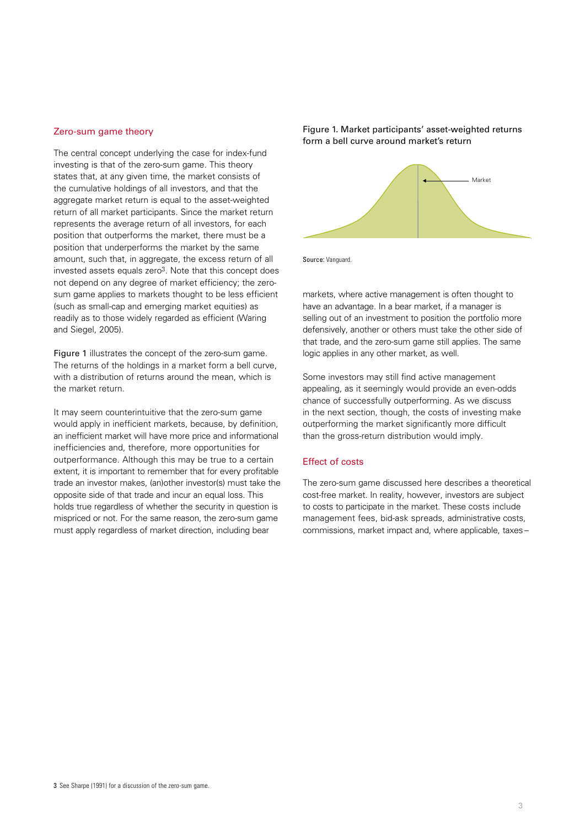#### Zero-sum game theory

The central concept underlying the case for index-fund investing is that of the zero-sum game. This theory states that, at any given time, the market consists of the cumulative holdings of all investors, and that the aggregate market return is equal to the asset-weighted return of all market participants. Since the market return represents the average return of all investors, for each position that outperforms the market, there must be a position that underperforms the market by the same amount, such that, in aggregate, the excess return of all invested assets equals zero3. Note that this concept does not depend on any degree of market efficiency; the zerosum game applies to markets thought to be less efficient (such as small-cap and emerging market equities) as readily as to those widely regarded as efficient (Waring and Siegel, 2005).

Figure 1 illustrates the concept of the zero-sum game. The returns of the holdings in a market form a bell curve, with a distribution of returns around the mean, which is the market return.

It may seem counterintuitive that the zero-sum game would apply in inefficient markets, because, by definition, an inefficient market will have more price and informational inefficiencies and, therefore, more opportunities for outperformance. Although this may be true to a certain extent, it is important to remember that for every profitable trade an investor makes, (an)other investor(s) must take the opposite side of that trade and incur an equal loss. This holds true regardless of whether the security in question is mispriced or not. For the same reason, the zero-sum game must apply regardless of market direction, including bear

Figure 1. Market participants' asset-weighted returns form a bell curve around market's return



Source: Vanguard.

markets, where active management is often thought to have an advantage. In a bear market, if a manager is selling out of an investment to position the portfolio more defensively, another or others must take the other side of that trade, and the zero-sum game still applies. The same logic applies in any other market, as well.

Some investors may still find active management appealing, as it seemingly would provide an even-odds chance of successfully outperforming. As we discuss in the next section, though, the costs of investing make outperforming the market significantly more difficult than the gross-return distribution would imply.

#### Effect of costs

The zero-sum game discussed here describes a theoretical cost-free market. In reality, however, investors are subject to costs to participate in the market. These costs include management fees, bid-ask spreads, administrative costs, commissions, market impact and, where applicable, taxes –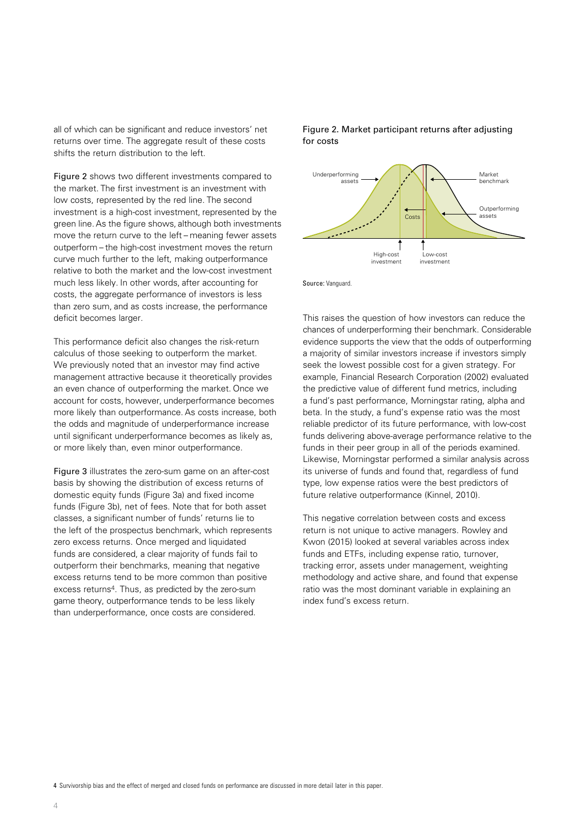all of which can be significant and reduce investors' net returns over time. The aggregate result of these costs shifts the return distribution to the left.

Figure 2 shows two different investments compared to the market. The first investment is an investment with low costs, represented by the red line. The second investment is a high-cost investment, represented by the green line. As the figure shows, although both investments move the return curve to the left – meaning fewer assets outperform – the high-cost investment moves the return curve much further to the left, making outperformance relative to both the market and the low-cost investment much less likely. In other words, after accounting for costs, the aggregate performance of investors is less than zero sum, and as costs increase, the performance deficit becomes larger.

This performance deficit also changes the risk-return calculus of those seeking to outperform the market. We previously noted that an investor may find active management attractive because it theoretically provides an even chance of outperforming the market. Once we account for costs, however, underperformance becomes more likely than outperformance. As costs increase, both the odds and magnitude of underperformance increase until significant underperformance becomes as likely as, or more likely than, even minor outperformance.

Figure 3 illustrates the zero-sum game on an after-cost basis by showing the distribution of excess returns of domestic equity funds (Figure 3a) and fixed income funds (Figure 3b), net of fees. Note that for both asset classes, a significant number of funds' returns lie to the left of the prospectus benchmark, which represents zero excess returns. Once merged and liquidated funds are considered, a clear majority of funds fail to outperform their benchmarks, meaning that negative excess returns tend to be more common than positive excess returns4. Thus, as predicted by the zero-sum game theory, outperformance tends to be less likely than underperformance, once costs are considered.

Figure 2. Market participant returns after adjusting for costs



Source: Vanguard.

This raises the question of how investors can reduce the chances of underperforming their benchmark. Considerable evidence supports the view that the odds of outperforming a majority of similar investors increase if investors simply seek the lowest possible cost for a given strategy. For example, Financial Research Corporation (2002) evaluated the predictive value of different fund metrics, including a fund's past performance, Morningstar rating, alpha and beta. In the study, a fund's expense ratio was the most reliable predictor of its future performance, with low-cost funds delivering above-average performance relative to the funds in their peer group in all of the periods examined. Likewise, Morningstar performed a similar analysis across its universe of funds and found that, regardless of fund type, low expense ratios were the best predictors of future relative outperformance (Kinnel, 2010).

This negative correlation between costs and excess return is not unique to active managers. Rowley and Kwon (2015) looked at several variables across index funds and ETFs, including expense ratio, turnover, tracking error, assets under management, weighting methodology and active share, and found that expense ratio was the most dominant variable in explaining an index fund's excess return.

4 Survivorship bias and the effect of merged and closed funds on performance are discussed in more detail later in this paper.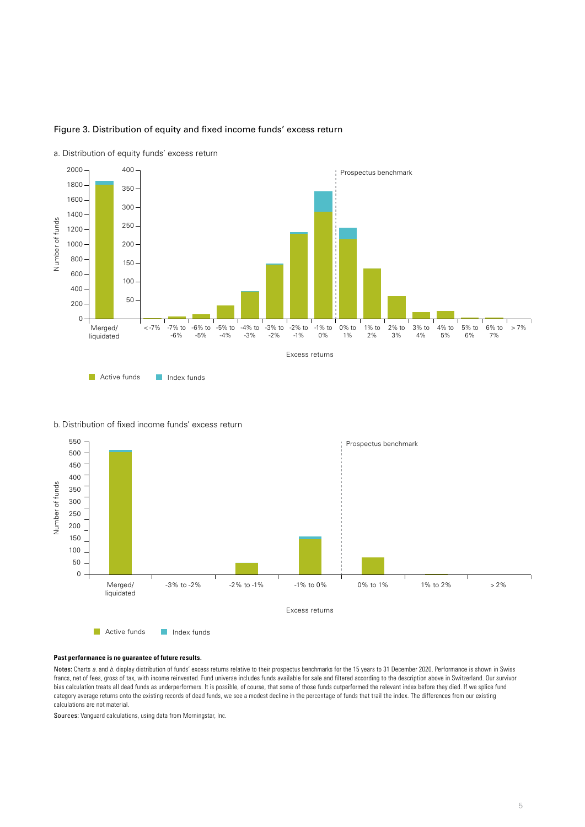

# Figure 3. Distribution of equity and fixed income funds' excess return

a. Distribution of equity funds' excess return

## b. Distribution of fixed income funds' excess return



#### **Past performance is no guarantee of future results.**

Notes: Charts *a.* and *b.* display distribution of funds' excess returns relative to their prospectus benchmarks for the 15 years to 31 December 2020. Performance is shown in Swiss francs, net of fees, gross of tax, with income reinvested. Fund universe includes funds available for sale and filtered according to the description above in Switzerland. Our survivor bias calculation treats all dead funds as underperformers. It is possible, of course, that some of those funds outperformed the relevant index before they died. If we splice fund category average returns onto the existing records of dead funds, we see a modest decline in the percentage of funds that trail the index. The differences from our existing calculations are not material.

Sources: Vanguard calculations, using data from Morningstar, Inc.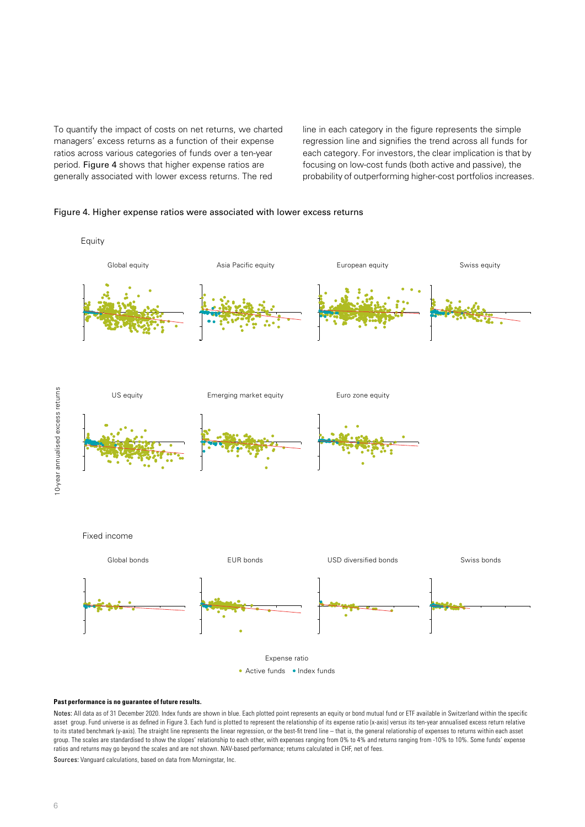To quantify the impact of costs on net returns, we charted managers' excess returns as a function of their expense ratios across various categories of funds over a ten-year period. Figure 4 shows that higher expense ratios are generally associated with lower excess returns. The red

line in each category in the figure represents the simple regression line and signifies the trend across all funds for each category. For investors, the clear implication is that by focusing on low-cost funds (both active and passive), the probability of outperforming higher-cost portfolios increases.





#### **Past performance is no guarantee of future results.**

Notes: All data as of 31 December 2020. Index funds are shown in blue. Each plotted point represents an equity or bond mutual fund or ETF available in Switzerland within the specific asset group. Fund universe is as defined in Figure 3. Each fund is plotted to represent the relationship of its expense ratio (x-axis) versus its ten-year annualised excess return relative to its stated benchmark (y-axis). The straight line represents the linear regression, or the best-fit trend line – that is, the general relationship of expenses to returns within each asset group. The scales are standardised to show the slopes' relationship to each other, with expenses ranging from 0% to 4% and returns ranging from -10% to 10%. Some funds' expense ratios and returns may go beyond the scales and are not shown. NAV-based performance; returns calculated in CHF, net of fees.

Sources: Vanguard calculations, based on data from Morningstar, Inc.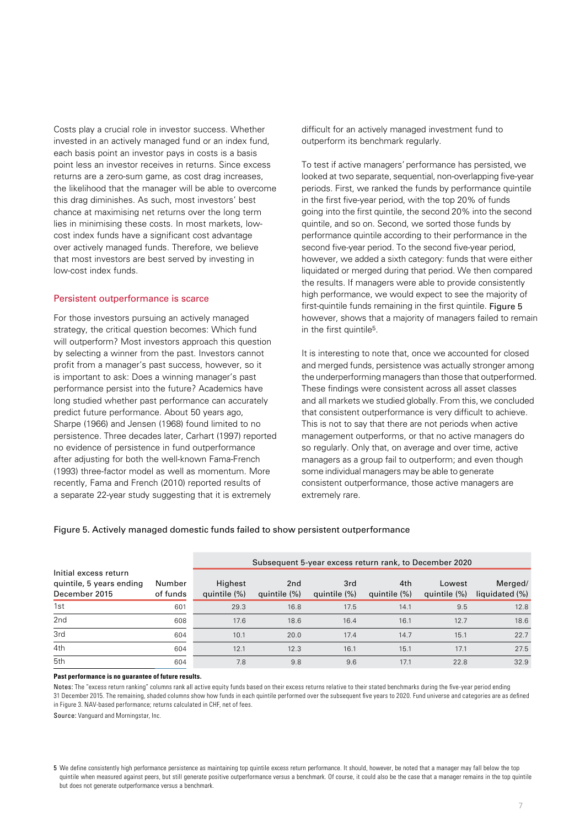Costs play a crucial role in investor success. Whether invested in an actively managed fund or an index fund, each basis point an investor pays in costs is a basis point less an investor receives in returns. Since excess returns are a zero-sum game, as cost drag increases, the likelihood that the manager will be able to overcome this drag diminishes. As such, most investors' best chance at maximising net returns over the long term lies in minimising these costs. In most markets, lowcost index funds have a significant cost advantage over actively managed funds. Therefore, we believe that most investors are best served by investing in low-cost index funds.

## Persistent outperformance is scarce

For those investors pursuing an actively managed strategy, the critical question becomes: Which fund will outperform? Most investors approach this question by selecting a winner from the past. Investors cannot profit from a manager's past success, however, so it is important to ask: Does a winning manager's past performance persist into the future? Academics have long studied whether past performance can accurately predict future performance. About 50 years ago, Sharpe (1966) and Jensen (1968) found limited to no persistence. Three decades later, Carhart (1997) reported no evidence of persistence in fund outperformance after adjusting for both the well-known Fama-French (1993) three-factor model as well as momentum. More recently, Fama and French (2010) reported results of a separate 22-year study suggesting that it is extremely

difficult for an actively managed investment fund to outperform its benchmark regularly.

To test if active managers' performance has persisted, we looked at two separate, sequential, non-overlapping five-year periods. First, we ranked the funds by performance quintile in the first five-year period, with the top 20% of funds going into the first quintile, the second 20% into the second quintile, and so on. Second, we sorted those funds by performance quintile according to their performance in the second five-year period. To the second five-year period, however, we added a sixth category: funds that were either liquidated or merged during that period. We then compared the results. If managers were able to provide consistently high performance, we would expect to see the majority of first-quintile funds remaining in the first quintile. Figure 5 however, shows that a majority of managers failed to remain in the first quintile5.

It is interesting to note that, once we accounted for closed and merged funds, persistence was actually stronger among the underperforming managers than those that outperformed. These findings were consistent across all asset classes and all markets we studied globally. From this, we concluded that consistent outperformance is very difficult to achieve. This is not to say that there are not periods when active management outperforms, or that no active managers do so regularly. Only that, on average and over time, active managers as a group fail to outperform; and even though some individual managers may be able to generate consistent outperformance, those active managers are extremely rare.

## Figure 5. Actively managed domestic funds failed to show persistent outperformance

|                                                                    |                    | Subsequent 5-year excess return rank, to December 2020 |                                 |                     |                     |                        |                           |
|--------------------------------------------------------------------|--------------------|--------------------------------------------------------|---------------------------------|---------------------|---------------------|------------------------|---------------------------|
| Initial excess return<br>quintile, 5 years ending<br>December 2015 | Number<br>of funds | Highest<br>quintile (%)                                | 2 <sub>nd</sub><br>quintile (%) | 3rd<br>quintile (%) | 4th<br>quintile (%) | Lowest<br>quintile (%) | Merged/<br>liquidated (%) |
| 1st                                                                | 601                | 29.3                                                   | 16.8                            | 17.5                | 14.1                | 9.5                    | 12.8                      |
| 2nd                                                                | 608                | 17.6                                                   | 18.6                            | 16.4                | 16.1                | 12.7                   | 18.6                      |
| 3rd                                                                | 604                | 10.1                                                   | 20.0                            | 17.4                | 14.7                | 15.1                   | 22.7                      |
| 4th                                                                | 604                | 12.1                                                   | 12.3                            | 16.1                | 15.1                | 17.1                   | 27.5                      |
| 5th                                                                | 604                | 7.8                                                    | 9.8                             | 9.6                 | 17.1                | 22.8                   | 32.9                      |

#### **Past performance is no guarantee of future results.**

Notes: The "excess return ranking" columns rank all active equity funds based on their excess returns relative to their stated benchmarks during the five-year period ending 31 December 2015. The remaining, shaded columns show how funds in each quintile performed over the subsequent five years to 2020. Fund universe and categories are as defined in Figure 3. NAV-based performance; returns calculated in CHF, net of fees.

Source: Vanguard and Morningstar, Inc.

<sup>5</sup> We define consistently high performance persistence as maintaining top quintile excess return performance. It should, however, be noted that a manager may fall below the top quintile when measured against peers, but still generate positive outperformance versus a benchmark. Of course, it could also be the case that a manager remains in the top quintile but does not generate outperformance versus a benchmark.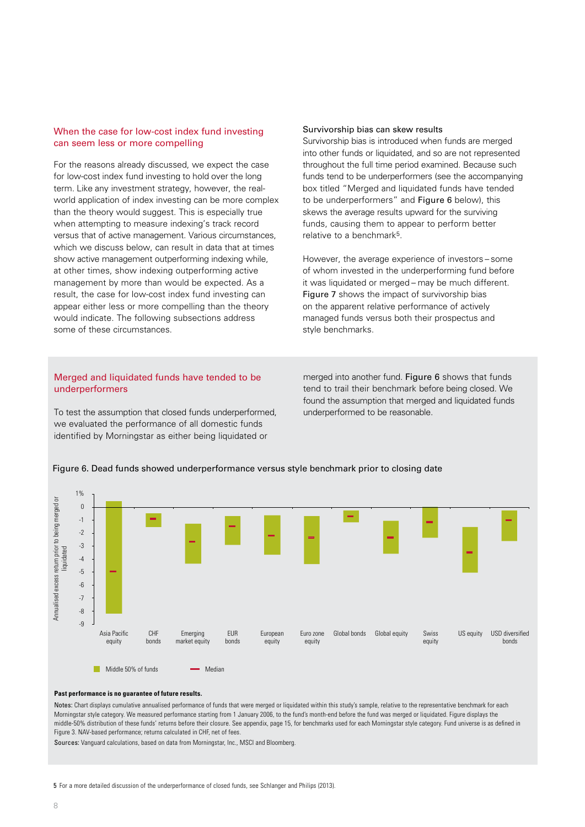## When the case for low-cost index fund investing can seem less or more compelling

For the reasons already discussed, we expect the case for low-cost index fund investing to hold over the long term. Like any investment strategy, however, the realworld application of index investing can be more complex than the theory would suggest. This is especially true when attempting to measure indexing's track record versus that of active management. Various circumstances, which we discuss below, can result in data that at times show active management outperforming indexing while, at other times, show indexing outperforming active management by more than would be expected. As a result, the case for low-cost index fund investing can appear either less or more compelling than the theory would indicate. The following subsections address some of these circumstances.

# Merged and liquidated funds have tended to be underperformers

To test the assumption that closed funds underperformed, we evaluated the performance of all domestic funds identified by Morningstar as either being liquidated or

## Survivorship bias can skew results

Survivorship bias is introduced when funds are merged into other funds or liquidated, and so are not represented throughout the full time period examined. Because such funds tend to be underperformers (see the accompanying box titled "Merged and liquidated funds have tended to be underperformers" and Figure 6 below), this skews the average results upward for the surviving funds, causing them to appear to perform better relative to a benchmark5.

However, the average experience of investors – some of whom invested in the underperforming fund before it was liquidated or merged – may be much different. Figure 7 shows the impact of survivorship bias on the apparent relative performance of actively managed funds versus both their prospectus and style benchmarks.

merged into another fund. Figure 6 shows that funds tend to trail their benchmark before being closed. We found the assumption that merged and liquidated funds underperformed to be reasonable.



#### Figure 6. Dead funds showed underperformance versus style benchmark prior to closing date

Notes: Chart displays cumulative annualised performance of funds that were merged or liquidated within this study's sample, relative to the representative benchmark for each Morningstar style category. We measured performance starting from 1 January 2006, to the fund's month-end before the fund was merged or liquidated. Figure displays the middle-50% distribution of these funds' returns before their closure. See appendix, page 15, for benchmarks used for each Morningstar style category. Fund universe is as dened in Figure 3. NAV-based performance; returns calculated in CHF, net of fees.

Sources: Vanguard calculations, based on data from Morningstar, Inc., MSCI and Bloomberg.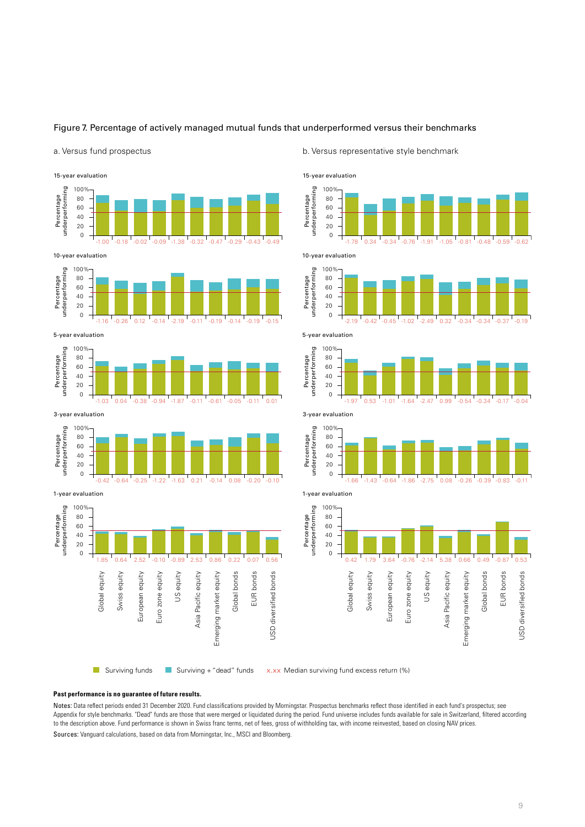

#### a. Versus fund prospectus



#### b. Versus representative style benchmark

















1-year evaluation

0

20 40

60 80 100%

0

20

Percentage<br>underperforming

Swiss equity

Swiss equity

European equity Euro zone equity

Euro zone equity

European equity

Surviving funds **Surviving + "dead"** funds

US equity

1.85 0.64 2.52 -0.10 -0.89 2.53 0.86 0.22 0.07 0.56

 $-0.42$   $-0.64$   $-0.25$   $-1.22$   $-1.63$   $-0.21$   $-0.14$   $-0.08$   $-0.20$   $-0.10$ 

Emerging market equity

Emerging market equity

Asia Pacific equity

Asia Pacific equity

Global bonds

Global bonds

EUR bonds

EUR bonds

USD diversified bonds

**JSD** diversified bonds

x.xx Median surviving fund excess return (%)

#### **Past performance is no guarantee of future results.**

Notes: Data reflect periods ended 31 December 2020. Fund classifications provided by Morningstar. Prospectus benchmarks reflect those identified in each fund's prospectus; see Appendix for style benchmarks. "Dead" funds are those that were merged or liquidated during the period. Fund universe includes funds available for sale in Switzerland, filtered according to the description above. Fund performance is shown in Swiss franc terms, net of fees, gross of withholding tax, with income reinvested, based on closing NAV prices. Sources: Vanguard calculations, based on data from Morningstar, Inc., MSCI and Bloomberg.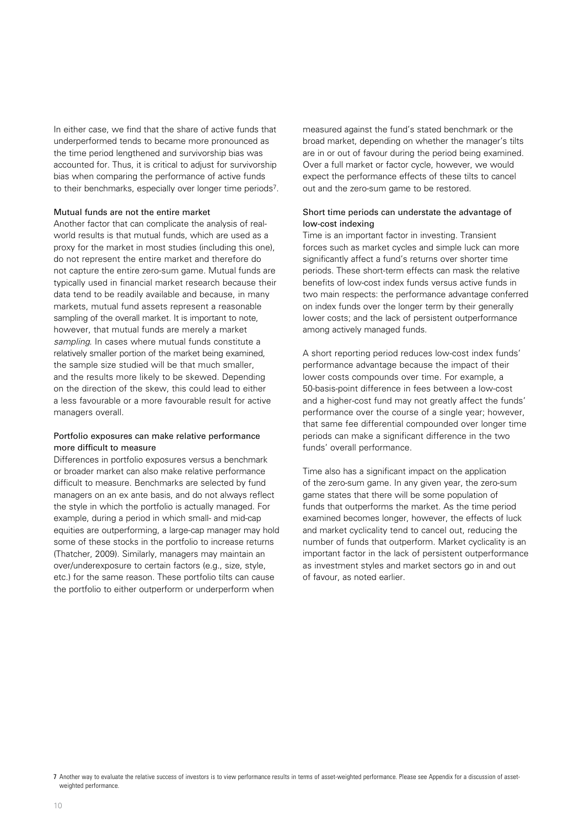In either case, we find that the share of active funds that underperformed tends to became more pronounced as the time period lengthened and survivorship bias was accounted for. Thus, it is critical to adjust for survivorship bias when comparing the performance of active funds to their benchmarks, especially over longer time periods7.

## Mutual funds are not the entire market

Another factor that can complicate the analysis of realworld results is that mutual funds, which are used as a proxy for the market in most studies (including this one), do not represent the entire market and therefore do not capture the entire zero-sum game. Mutual funds are typically used in financial market research because their data tend to be readily available and because, in many markets, mutual fund assets represent a reasonable sampling of the overall market. It is important to note, however, that mutual funds are merely a market *sampling*. In cases where mutual funds constitute a relatively smaller portion of the market being examined, the sample size studied will be that much smaller, and the results more likely to be skewed. Depending on the direction of the skew, this could lead to either a less favourable or a more favourable result for active managers overall.

# Portfolio exposures can make relative performance more difficult to measure

Differences in portfolio exposures versus a benchmark or broader market can also make relative performance difficult to measure. Benchmarks are selected by fund managers on an ex ante basis, and do not always reflect the style in which the portfolio is actually managed. For example, during a period in which small- and mid-cap equities are outperforming, a large-cap manager may hold some of these stocks in the portfolio to increase returns (Thatcher, 2009). Similarly, managers may maintain an over/underexposure to certain factors (e.g., size, style, etc.) for the same reason. These portfolio tilts can cause the portfolio to either outperform or underperform when

measured against the fund's stated benchmark or the broad market, depending on whether the manager's tilts are in or out of favour during the period being examined. Over a full market or factor cycle, however, we would expect the performance effects of these tilts to cancel out and the zero-sum game to be restored.

# Short time periods can understate the advantage of low-cost indexing

Time is an important factor in investing. Transient forces such as market cycles and simple luck can more significantly affect a fund's returns over shorter time periods. These short-term effects can mask the relative benefits of low-cost index funds versus active funds in two main respects: the performance advantage conferred on index funds over the longer term by their generally lower costs; and the lack of persistent outperformance among actively managed funds.

A short reporting period reduces low-cost index funds' performance advantage because the impact of their lower costs compounds over time. For example, a 50-basis-point difference in fees between a low-cost and a higher-cost fund may not greatly affect the funds' performance over the course of a single year; however, that same fee differential compounded over longer time periods can make a significant difference in the two funds' overall performance.

Time also has a significant impact on the application of the zero-sum game. In any given year, the zero-sum game states that there will be some population of funds that outperforms the market. As the time period examined becomes longer, however, the effects of luck and market cyclicality tend to cancel out, reducing the number of funds that outperform. Market cyclicality is an important factor in the lack of persistent outperformance as investment styles and market sectors go in and out of favour, as noted earlier.

<sup>7</sup> Another way to evaluate the relative success of investors is to view performance results in terms of asset-weighted performance. Please see Appendix for a discussion of assetweighted performance.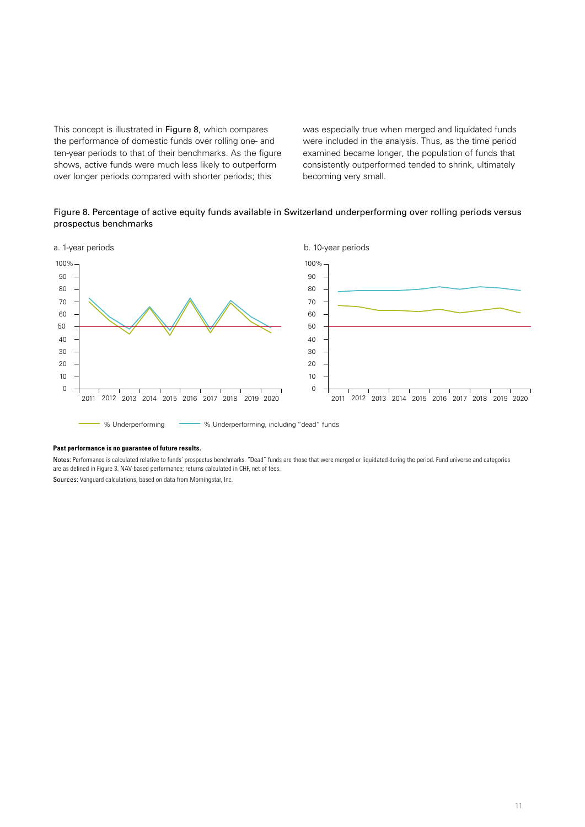This concept is illustrated in Figure 8, which compares the performance of domestic funds over rolling one- and ten-year periods to that of their benchmarks. As the figure shows, active funds were much less likely to outperform over longer periods compared with shorter periods; this

was especially true when merged and liquidated funds were included in the analysis. Thus, as the time period examined became longer, the population of funds that consistently outperformed tended to shrink, ultimately becoming very small.

# Figure 8. Percentage of active equity funds available in Switzerland underperforming over rolling periods versus prospectus benchmarks



#### **Past performance is no guarantee of future results.**

Notes: Performance is calculated relative to funds' prospectus benchmarks. "Dead" funds are those that were merged or liquidated during the period. Fund universe and categories are as defined in Figure 3. NAV-based performance; returns calculated in CHF, net of fees.

Sources: Vanguard calculations, based on data from Morningstar, Inc.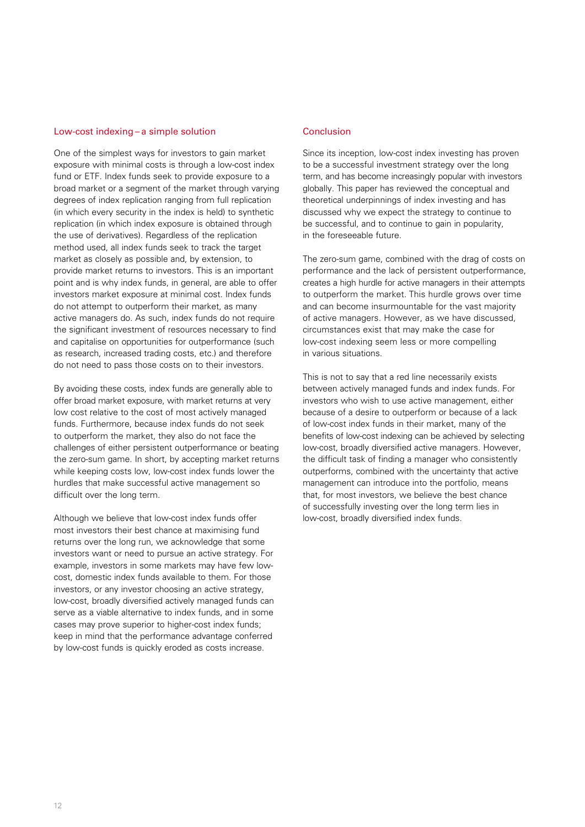#### Low-cost indexing – a simple solution

One of the simplest ways for investors to gain market exposure with minimal costs is through a low-cost index fund or ETF. Index funds seek to provide exposure to a broad market or a segment of the market through varying degrees of index replication ranging from full replication (in which every security in the index is held) to synthetic replication (in which index exposure is obtained through the use of derivatives). Regardless of the replication method used, all index funds seek to track the target market as closely as possible and, by extension, to provide market returns to investors. This is an important point and is why index funds, in general, are able to offer investors market exposure at minimal cost. Index funds do not attempt to outperform their market, as many active managers do. As such, index funds do not require the significant investment of resources necessary to find and capitalise on opportunities for outperformance (such as research, increased trading costs, etc.) and therefore do not need to pass those costs on to their investors.

By avoiding these costs, index funds are generally able to offer broad market exposure, with market returns at very low cost relative to the cost of most actively managed funds. Furthermore, because index funds do not seek to outperform the market, they also do not face the challenges of either persistent outperformance or beating the zero-sum game. In short, by accepting market returns while keeping costs low, low-cost index funds lower the hurdles that make successful active management so difficult over the long term.

Although we believe that low-cost index funds offer most investors their best chance at maximising fund returns over the long run, we acknowledge that some investors want or need to pursue an active strategy. For example, investors in some markets may have few lowcost, domestic index funds available to them. For those investors, or any investor choosing an active strategy, low-cost, broadly diversified actively managed funds can serve as a viable alternative to index funds, and in some cases may prove superior to higher-cost index funds; keep in mind that the performance advantage conferred by low-cost funds is quickly eroded as costs increase.

## **Conclusion**

Since its inception, low-cost index investing has proven to be a successful investment strategy over the long term, and has become increasingly popular with investors globally. This paper has reviewed the conceptual and theoretical underpinnings of index investing and has discussed why we expect the strategy to continue to be successful, and to continue to gain in popularity, in the foreseeable future.

The zero-sum game, combined with the drag of costs on performance and the lack of persistent outperformance, creates a high hurdle for active managers in their attempts to outperform the market. This hurdle grows over time and can become insurmountable for the vast majority of active managers. However, as we have discussed, circumstances exist that may make the case for low-cost indexing seem less or more compelling in various situations.

This is not to say that a red line necessarily exists between actively managed funds and index funds. For investors who wish to use active management, either because of a desire to outperform or because of a lack of low-cost index funds in their market, many of the benefits of low-cost indexing can be achieved by selecting low-cost, broadly diversified active managers. However, the difficult task of finding a manager who consistently outperforms, combined with the uncertainty that active management can introduce into the portfolio, means that, for most investors, we believe the best chance of successfully investing over the long term lies in low-cost, broadly diversified index funds.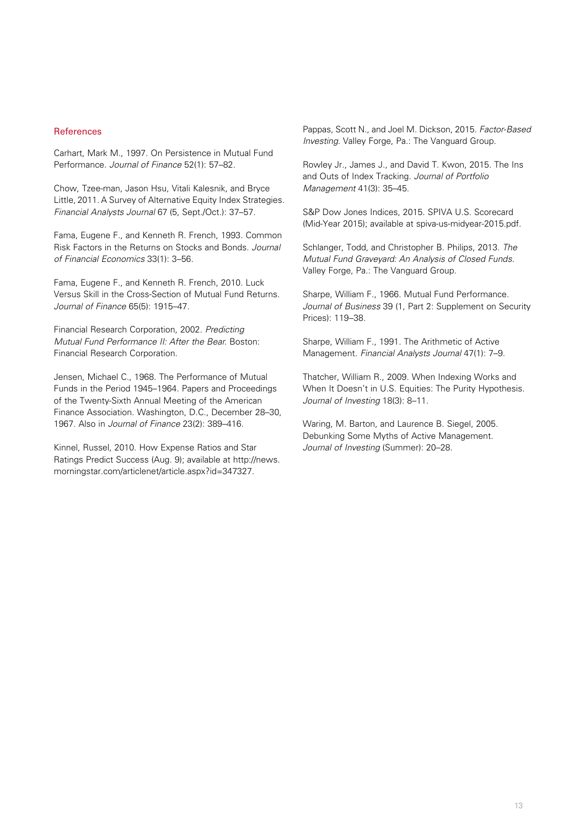## References

Carhart, Mark M., 1997. On Persistence in Mutual Fund Performance. *Journal of Finance* 52(1): 57–82.

Chow, Tzee-man, Jason Hsu, Vitali Kalesnik, and Bryce Little, 2011. A Survey of Alternative Equity Index Strategies. *Financial Analysts Journal* 67 (5, Sept./Oct.): 37–57.

Fama, Eugene F., and Kenneth R. French, 1993. Common Risk Factors in the Returns on Stocks and Bonds. *Journal of Financial Economics* 33(1): 3–56.

Fama, Eugene F., and Kenneth R. French, 2010. Luck Versus Skill in the Cross-Section of Mutual Fund Returns. *Journal of Finance* 65(5): 1915–47.

Financial Research Corporation, 2002. *Predicting Mutual Fund Performance II: After the Bear.* Boston: Financial Research Corporation.

Jensen, Michael C., 1968. The Performance of Mutual Funds in the Period 1945–1964. Papers and Proceedings of the Twenty-Sixth Annual Meeting of the American Finance Association. Washington, D.C., December 28–30, 1967. Also in *Journal of Finance* 23(2): 389–416.

Kinnel, Russel, 2010. How Expense Ratios and Star Ratings Predict Success (Aug. 9); available at http://news. morningstar.com/articlenet/article.aspx?id=347327.

Pappas, Scott N., and Joel M. Dickson, 2015. *Factor-Based Investing.* Valley Forge, Pa.: The Vanguard Group.

Rowley Jr., James J., and David T. Kwon, 2015. The Ins and Outs of Index Tracking. *Journal of Portfolio Management* 41(3): 35–45.

S&P Dow Jones Indices, 2015. SPIVA U.S. Scorecard (Mid-Year 2015); available at spiva-us-midyear-2015.pdf.

Schlanger, Todd, and Christopher B. Philips, 2013. *The Mutual Fund Graveyard: An Analysis of Closed Funds.*  Valley Forge, Pa.: The Vanguard Group.

Sharpe, William F., 1966. Mutual Fund Performance. *Journal of Business* 39 (1, Part 2: Supplement on Security Prices): 119–38.

Sharpe, William F., 1991. The Arithmetic of Active Management. *Financial Analysts Journal* 47(1): 7–9.

Thatcher, William R., 2009. When Indexing Works and When It Doesn't in U.S. Equities: The Purity Hypothesis. *Journal of Investing* 18(3): 8–11.

Waring, M. Barton, and Laurence B. Siegel, 2005. Debunking Some Myths of Active Management. *Journal of Investing* (Summer): 20–28.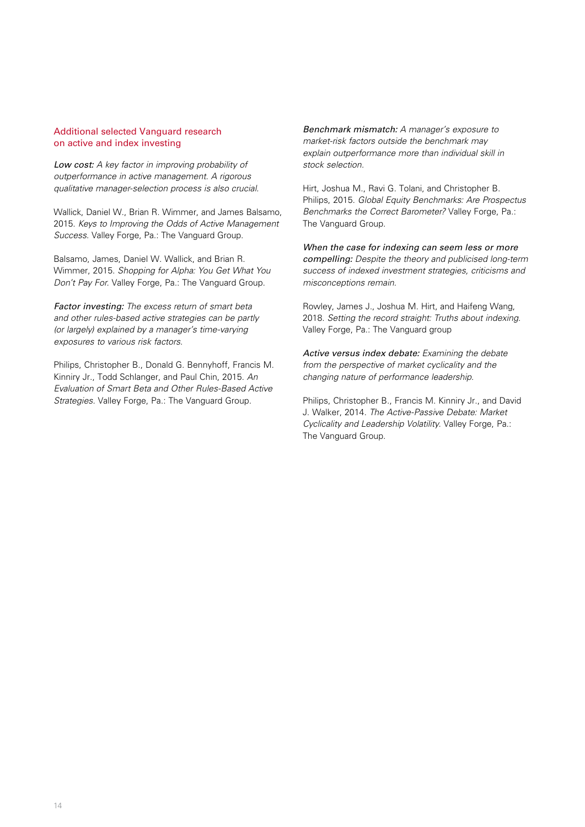## Additional selected Vanguard research on active and index investing

*Low cost: A key factor in improving probability of outperformance in active management. A rigorous qualitative manager-selection process is also crucial.*

Wallick, Daniel W., Brian R. Wimmer, and James Balsamo, 2015. *Keys to Improving the Odds of Active Management Success.* Valley Forge, Pa.: The Vanguard Group.

Balsamo, James, Daniel W. Wallick, and Brian R. Wimmer, 2015. *Shopping for Alpha: You Get What You Don't Pay For.* Valley Forge, Pa.: The Vanguard Group.

*Factor investing: The excess return of smart beta and other rules-based active strategies can be partly (or largely) explained by a manager's time-varying exposures to various risk factors.*

Philips, Christopher B., Donald G. Bennyhoff, Francis M. Kinniry Jr., Todd Schlanger, and Paul Chin, 2015. *An Evaluation of Smart Beta and Other Rules-Based Active Strategies.* Valley Forge, Pa.: The Vanguard Group.

*Benchmark mismatch: A manager's exposure to market-risk factors outside the benchmark may explain outperformance more than individual skill in stock selection.*

Hirt, Joshua M., Ravi G. Tolani, and Christopher B. Philips, 2015. *Global Equity Benchmarks: Are Prospectus Benchmarks the Correct Barometer?* Valley Forge, Pa.: The Vanguard Group.

*When the case for indexing can seem less or more compelling: Despite the theory and publicised long-term success of indexed investment strategies, criticisms and misconceptions remain.*

Rowley, James J., Joshua M. Hirt, and Haifeng Wang, 2018. *Setting the record straight: Truths about indexing.* Valley Forge, Pa.: The Vanguard group

*Active versus index debate: Examining the debate from the perspective of market cyclicality and the changing nature of performance leadership.*

Philips, Christopher B., Francis M. Kinniry Jr., and David J. Walker, 2014. *The Active-Passive Debate: Market Cyclicality and Leadership Volatility.* Valley Forge, Pa.: The Vanguard Group.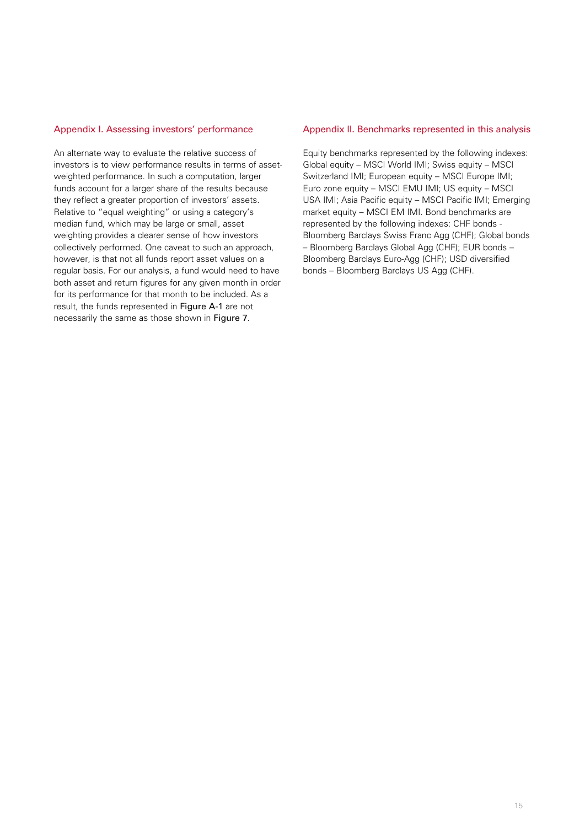## Appendix I. Assessing investors' performance

An alternate way to evaluate the relative success of investors is to view performance results in terms of assetweighted performance. In such a computation, larger funds account for a larger share of the results because they reflect a greater proportion of investors' assets. Relative to "equal weighting" or using a category's median fund, which may be large or small, asset weighting provides a clearer sense of how investors collectively performed. One caveat to such an approach, however, is that not all funds report asset values on a regular basis. For our analysis, a fund would need to have both asset and return figures for any given month in order for its performance for that month to be included. As a result, the funds represented in Figure A-1 are not necessarily the same as those shown in Figure 7.

## Appendix II. Benchmarks represented in this analysis

Equity benchmarks represented by the following indexes: Global equity – MSCI World IMI; Swiss equity – MSCI Switzerland IMI; European equity – MSCI Europe IMI; Euro zone equity – MSCI EMU IMI; US equity – MSCI USA IMI; Asia Pacific equity – MSCI Pacific IMI; Emerging market equity – MSCI EM IMI. Bond benchmarks are represented by the following indexes: CHF bonds - Bloomberg Barclays Swiss Franc Agg (CHF); Global bonds – Bloomberg Barclays Global Agg (CHF); EUR bonds – Bloomberg Barclays Euro-Agg (CHF); USD diversified bonds – Bloomberg Barclays US Agg (CHF).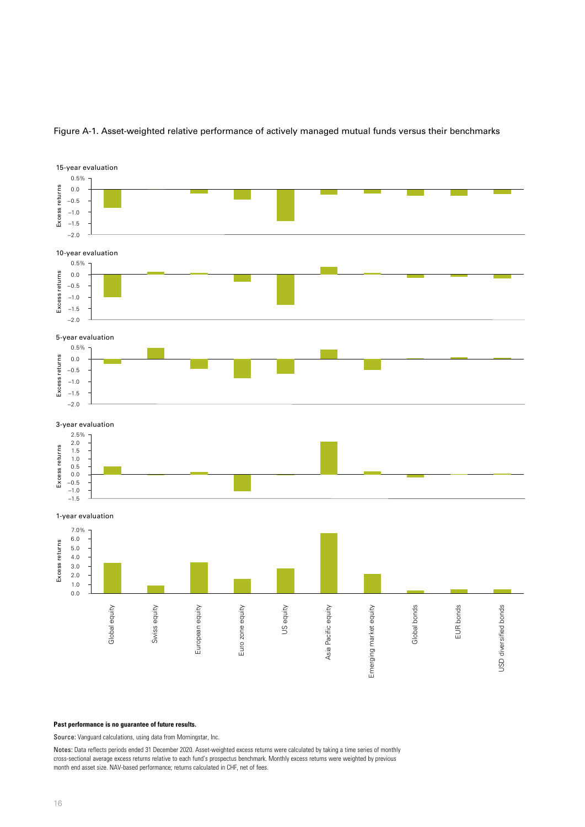

# Figure A-1. Asset-weighted relative performance of actively managed mutual funds versus their benchmarks

#### **Past performance is no guarantee of future results.**

Source: Vanguard calculations, using data from Morningstar, Inc.

Notes: Data reflects periods ended 31 December 2020. Asset-weighted excess returns were calculated by taking a time series of monthly cross-sectional average excess returns relative to each fund's prospectus benchmark. Monthly excess returns were weighted by previous month end asset size. NAV-based performance; returns calculated in CHF, net of fees.